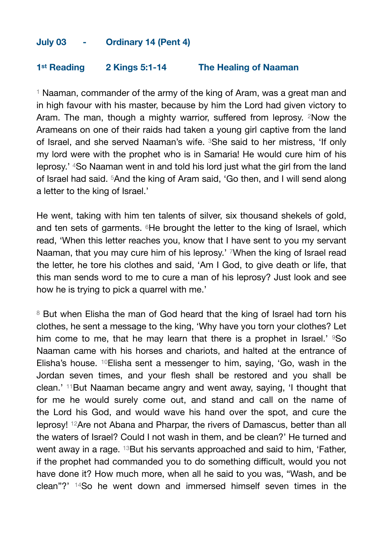## **July 03 - Ordinary 14 (Pent 4)**

## **1st Reading 2 Kings 5:1-14 The Healing of Naaman**

<sup>1</sup> Naaman, commander of the army of the king of Aram, was a great man and in high favour with his master, because by him the Lord had given victory to Aram. The man, though a mighty warrior, suffered from leprosy, <sup>2</sup>Now the Arameans on one of their raids had taken a young girl captive from the land of Israel, and she served Naaman's wife. 3She said to her mistress, 'If only my lord were with the prophet who is in Samaria! He would cure him of his leprosy.' 4So Naaman went in and told his lord just what the girl from the land of Israel had said. 5And the king of Aram said, 'Go then, and I will send along a letter to the king of Israel.'

He went, taking with him ten talents of silver, six thousand shekels of gold, and ten sets of garments.  $6$ He brought the letter to the king of Israel, which read, 'When this letter reaches you, know that I have sent to you my servant Naaman, that you may cure him of his leprosy.' 7When the king of Israel read the letter, he tore his clothes and said, 'Am I God, to give death or life, that this man sends word to me to cure a man of his leprosy? Just look and see how he is trying to pick a quarrel with me.'

<sup>8</sup> But when Elisha the man of God heard that the king of Israel had torn his clothes, he sent a message to the king, 'Why have you torn your clothes? Let him come to me, that he may learn that there is a prophet in Israel.'  $950$ Naaman came with his horses and chariots, and halted at the entrance of Elisha's house. 10Elisha sent a messenger to him, saying, 'Go, wash in the Jordan seven times, and your flesh shall be restored and you shall be clean.' 11But Naaman became angry and went away, saying, 'I thought that for me he would surely come out, and stand and call on the name of the Lord his God, and would wave his hand over the spot, and cure the leprosy! 12Are not Abana and Pharpar, the rivers of Damascus, better than all the waters of Israel? Could I not wash in them, and be clean?' He turned and went away in a rage. <sup>13</sup>But his servants approached and said to him, 'Father, if the prophet had commanded you to do something difficult, would you not have done it? How much more, when all he said to you was, "Wash, and be clean"?' 14So he went down and immersed himself seven times in the